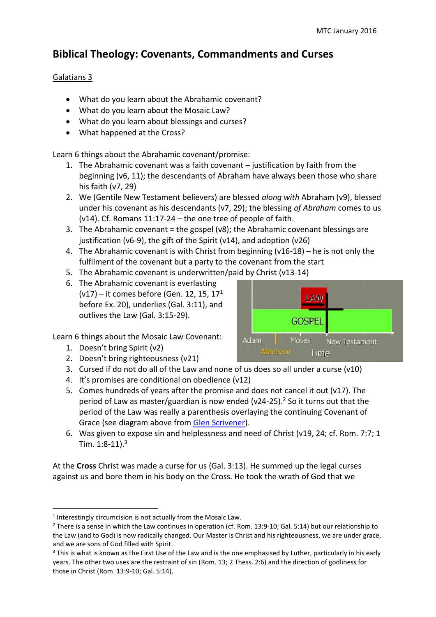# **Biblical Theology: Covenants, Commandments and Curses**

## Galatians 3

- What do you learn about the Abrahamic covenant?
- What do you learn about the Mosaic Law?
- What do you learn about blessings and curses?
- What happened at the Cross?

Learn 6 things about the Abrahamic covenant/promise:

- 1. The Abrahamic covenant was a faith covenant justification by faith from the beginning (v6, 11); the descendants of Abraham have always been those who share his faith (v7, 29)
- 2. We (Gentile New Testament believers) are blessed *along with* Abraham (v9), blessed under his covenant as his descendants (v7, 29); the blessing *of Abraham* comes to us (v14). Cf. Romans 11:17-24 – the one tree of people of faith.
- 3. The Abrahamic covenant = the gospel (v8); the Abrahamic covenant blessings are justification (v6-9), the gift of the Spirit (v14), and adoption (v26)
- 4. The Abrahamic covenant is with Christ from beginning (v16-18) he is not only the fulfilment of the covenant but a party to the covenant from the start
- 5. The Abrahamic covenant is underwritten/paid by Christ (v13-14)
- 6. The Abrahamic covenant is everlasting (v17) – it comes before (Gen. 12, 15, 17<sup>1</sup> before Ex. 20), underlies (Gal. 3:11), and outlives the Law (Gal. 3:15-29).

Learn 6 things about the Mosaic Law Covenant:

1. Doesn't bring Spirit (v2)

**.** 

- 2. Doesn't bring righteousness (v21)
- 3. Cursed if do not do all of the Law and none of us does so all under a curse  $(v10)$
- 4. It's promises are conditional on obedience (v12)
- 5. Comes hundreds of years after the promise and does not cancel it out (v17). The period of Law as master/guardian is now ended (v24-25). <sup>2</sup> So it turns out that the period of the Law was really a parenthesis overlaying the continuing Covenant of Grace (see diagram above from [Glen Scrivener\)](http://christthetruth.net/2012/06/27/galatians-3-4-sermon/).
- 6. Was given to expose sin and helplessness and need of Christ (v19, 24; cf. Rom. 7:7; 1 Tim.  $1:8-11$ ).<sup>3</sup>

At the **Cross** Christ was made a curse for us (Gal. 3:13). He summed up the legal curses against us and bore them in his body on the Cross. He took the wrath of God that we



<sup>&</sup>lt;sup>1</sup> Interestingly circumcision is not actually from the Mosaic Law.

<sup>&</sup>lt;sup>2</sup> There is a sense in which the Law continues in operation (cf. Rom. 13:9-10; Gal. 5:14) but our relationship to the Law (and to God) is now radically changed. Our Master is Christ and his righteousness, we are under grace, and we are sons of God filled with Spirit.

<sup>&</sup>lt;sup>3</sup> This is what is known as the First Use of the Law and is the one emphasised by Luther, particularly in his early years. The other two uses are the restraint of sin (Rom. 13; 2 Thess. 2:6) and the direction of godliness for those in Christ (Rom. 13:9-10; Gal. 5:14).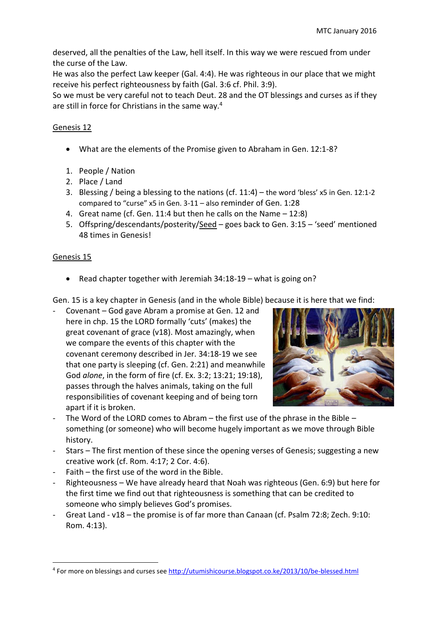deserved, all the penalties of the Law, hell itself. In this way we were rescued from under the curse of the Law.

He was also the perfect Law keeper (Gal. 4:4). He was righteous in our place that we might receive his perfect righteousness by faith (Gal. 3:6 cf. Phil. 3:9).

So we must be very careful not to teach Deut. 28 and the OT blessings and curses as if they are still in force for Christians in the same way.<sup>4</sup>

## Genesis 12

- What are the elements of the Promise given to Abraham in Gen. 12:1-8?
- 1. People / Nation
- 2. Place / Land
- 3. Blessing / being a blessing to the nations (cf. 11:4) the word 'bless' x5 in Gen. 12:1-2 compared to "curse" x5 in Gen. 3-11 – also reminder of Gen. 1:28
- 4. Great name (cf. Gen. 11:4 but then he calls on the Name 12:8)
- 5. Offspring/descendants/posterity/Seed goes back to Gen. 3:15 'seed' mentioned 48 times in Genesis!

#### Genesis 15

 $\overline{a}$ 

Read chapter together with Jeremiah 34:18-19 – what is going on?

Gen. 15 is a key chapter in Genesis (and in the whole Bible) because it is here that we find:

- Covenant – God gave Abram a promise at Gen. 12 and here in chp. 15 the LORD formally 'cuts' (makes) the great covenant of grace (v18). Most amazingly, when we compare the events of this chapter with the covenant ceremony described in Jer. 34:18-19 we see that one party is sleeping (cf. Gen. 2:21) and meanwhile God *alone*, in the form of fire (cf. Ex. 3:2; 13:21; 19:18), passes through the halves animals, taking on the full responsibilities of covenant keeping and of being torn apart if it is broken.



- The Word of the LORD comes to Abram the first use of the phrase in the Bible something (or someone) who will become hugely important as we move through Bible history.
- Stars The first mention of these since the opening verses of Genesis; suggesting a new creative work (cf. Rom. 4:17; 2 Cor. 4:6).
- $F$ aith  $-$  the first use of the word in the Bible.
- Righteousness We have already heard that Noah was righteous (Gen. 6:9) but here for the first time we find out that righteousness is something that can be credited to someone who simply believes God's promises.
- Great Land v18 the promise is of far more than Canaan (cf. Psalm 72:8; Zech. 9:10: Rom. 4:13).

<sup>&</sup>lt;sup>4</sup> For more on blessings and curses see<http://utumishicourse.blogspot.co.ke/2013/10/be-blessed.html>